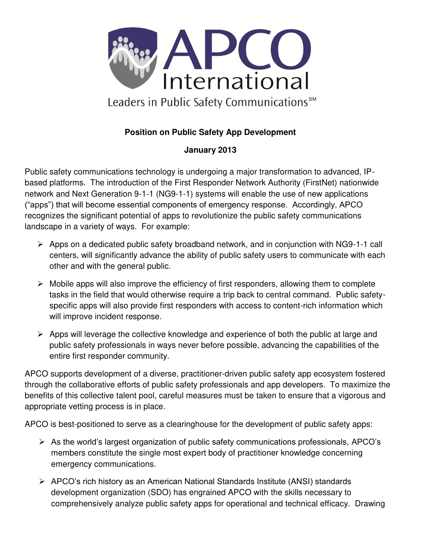

## **Position on Public Safety App Development**

## **January 2013**

Public safety communications technology is undergoing a major transformation to advanced, IPbased platforms. The introduction of the First Responder Network Authority (FirstNet) nationwide network and Next Generation 9-1-1 (NG9-1-1) systems will enable the use of new applications ("apps") that will become essential components of emergency response. Accordingly, APCO recognizes the significant potential of apps to revolutionize the public safety communications landscape in a variety of ways. For example:

- Apps on a dedicated public safety broadband network, and in conjunction with NG9-1-1 call centers, will significantly advance the ability of public safety users to communicate with each other and with the general public.
- $\triangleright$  Mobile apps will also improve the efficiency of first responders, allowing them to complete tasks in the field that would otherwise require a trip back to central command. Public safetyspecific apps will also provide first responders with access to content-rich information which will improve incident response.
- $\triangleright$  Apps will leverage the collective knowledge and experience of both the public at large and public safety professionals in ways never before possible, advancing the capabilities of the entire first responder community.

APCO supports development of a diverse, practitioner-driven public safety app ecosystem fostered through the collaborative efforts of public safety professionals and app developers. To maximize the benefits of this collective talent pool, careful measures must be taken to ensure that a vigorous and appropriate vetting process is in place.

APCO is best-positioned to serve as a clearinghouse for the development of public safety apps:

- As the world's largest organization of public safety communications professionals, APCO's members constitute the single most expert body of practitioner knowledge concerning emergency communications.
- APCO's rich history as an American National Standards Institute (ANSI) standards development organization (SDO) has engrained APCO with the skills necessary to comprehensively analyze public safety apps for operational and technical efficacy. Drawing